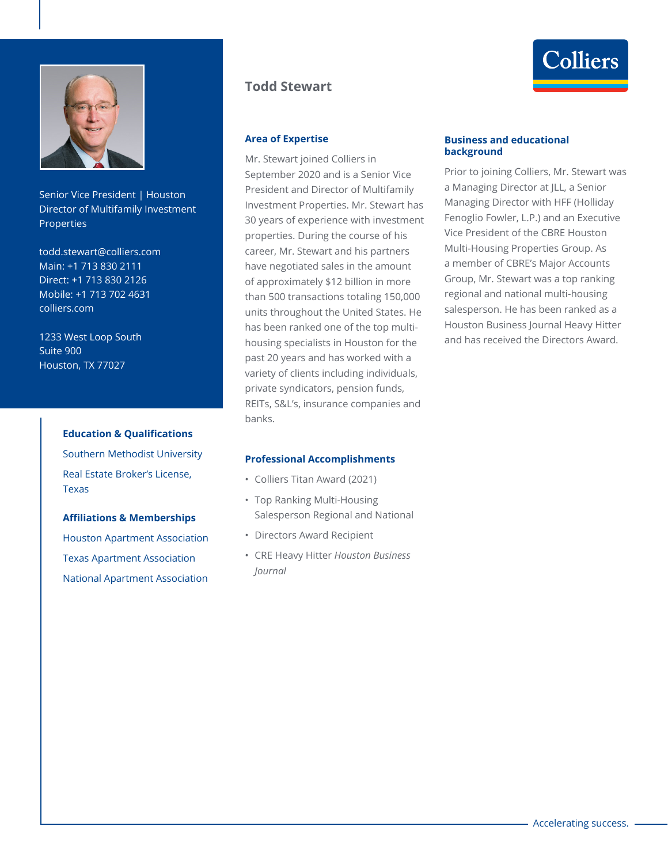

Senior Vice President | Houston Director of Multifamily Investment **Properties** 

todd.stewart@colliers.com Main: +1 713 830 2111 Direct: +1 713 830 2126 Mobile: +1 713 702 4631 colliers.com

1233 West Loop South Suite 900 Houston, TX 77027

#### **Education & Qualifications**

Southern Methodist University Real Estate Broker's License, Texas

#### **Affiliations & Memberships**

Houston Apartment Association Texas Apartment Association National Apartment Association

# **Todd Stewart**

# **Area of Expertise**

Mr. Stewart joined Colliers in September 2020 and is a Senior Vice President and Director of Multifamily Investment Properties. Mr. Stewart has 30 years of experience with investment properties. During the course of his career, Mr. Stewart and his partners have negotiated sales in the amount of approximately \$12 billion in more than 500 transactions totaling 150,000 units throughout the United States. He has been ranked one of the top multihousing specialists in Houston for the past 20 years and has worked with a variety of clients including individuals, private syndicators, pension funds, REITs, S&L's, insurance companies and banks.

### **Professional Accomplishments**

- Colliers Titan Award (2021)
- Top Ranking Multi-Housing Salesperson Regional and National
- Directors Award Recipient
- CRE Heavy Hitter *Houston Business Journal*

#### **Business and educational background**

Prior to joining Colliers, Mr. Stewart was a Managing Director at JLL, a Senior Managing Director with HFF (Holliday Fenoglio Fowler, L.P.) and an Executive Vice President of the CBRE Houston Multi-Housing Properties Group. As a member of CBRE's Major Accounts Group, Mr. Stewart was a top ranking regional and national multi-housing salesperson. He has been ranked as a Houston Business Journal Heavy Hitter and has received the Directors Award.

Colliers